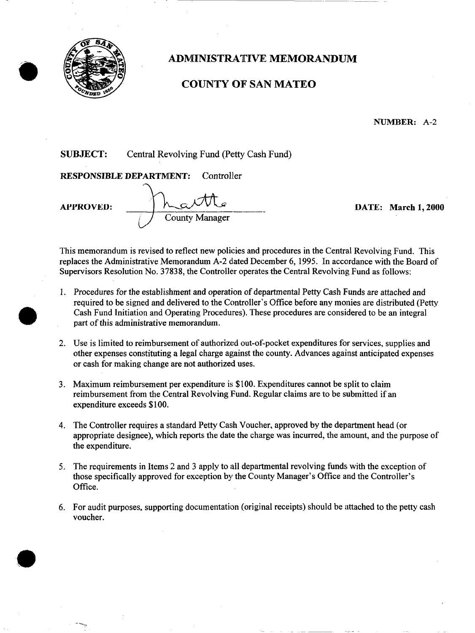

\*

## ADMINISTRATIVE MEMORANDUM

# COUNTY OF SAN MATE0

NUMBER: A-2

SUBJECT: Central Revolving Fund (Petty Cash Fund)

RESPONSIBLE DEPARTMENT: Controller

 $\Delta$ APPROVED:  $\wedge \wedge \wedge \vee \vee \wedge \wedge$  $\sim$  $\frac{a\vee\vee\vee}{b}$ County Manager

This memorandum is revised to reflect new policies and procedures in the Central Revolving Fund. This replaces the Administrative Memorandum A-2 dated December 6, 1995. In accordance with the Board of Supervisors Resolution No. 37838, the Controller operates the Central Revolving Fund as follows:

- 1. Procedures for the establishment and operation of departmental Petty Cash Funds are attached and required to be signed and delivered to the Controller's Office before any monies are distributed (Petty Cash Fund Initiation and Operating Procedures). These procedures are considered to be an integral part of this administrative memorandum.
- 2. Use is limited to reimbursement of authorized out-of-pocket expenditures for services, supplies and other expenses constituting a legal charge against the county. Advances against anticipated expenses or cash for making change are not authorized uses.
- 3. Maximum reimbursement per expenditure is \$100. Expenditures cannot be split to claim reimbursement from the Central Revolving Fund. Regular claims are to be submitted if an expenditure exceeds \$100.
- 4. The Controller requires a standard Petty Cash Voucher, approved by the department head (or appropriate designee), which reports the date the charge was incurred, the amount, and the purpose of the expenditure.
- 5. The requirements in Items 2 and 3 apply to all departmental revolving funds with the exception of those specifically approved for exception by the County Manager's Office and the Controller's Office.
- 6. For audit purposes, supporting documentation (original receipts) should be attached to the petty cash voucher.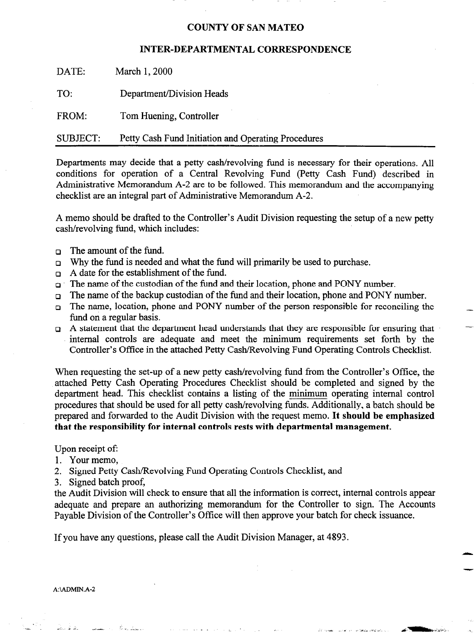#### COUNTY OF SAN MATE0

## INTER-DEPARTMENTAL CORRESPONDENCE

DATE: TO: March 1,200O Department/Division Heads FROM: Tom Huening, Controller SUBJECT: Petty Cash Fund Initiation and Operating Procedures

Departments may decide that a petty cash/revolving fund is necessary for their operations. All conditions for operation of a Central Revolving Fund (Petty Cash Fund) described in Administrative Memorandum A-2 are to be followed. This memorandum and the accompanying checklist are an integral part of Administrative Memorandum A-2.

A memo should be drafted to the Controller's Audit Division requesting the setup of a new petty cash/revolving fund, which includes:

- o The amount of the fund.
- $\Box$  Why the fund is needed and what the fund will primarily be used to purchase.
- Q A date for the establishment of the fund.
- o The name of the custodian of the fund and their location, phone and PONY number.
- 0 The name of the backup custodian of the fund and their location, phone and PONY number.
- $\Box$  The name, location, phone and PONY number of the person responsible for reconciling the fund on a regular basis.

 $\overline{a}$ 

-

 $\Box$  A statement that the department head understands that they are responsible for ensuring that internal controls are adequate and meet the minimum requirements set forth by the Controller's Office in the attached Petty Cash/Revolving Fund Operating Controls Checklist.

When requesting the set-up of a new petty cash/revolving fund from the Controller's Office, the attached Petty Cash Operating Procedures Checklist should be completed and signed by the department head. This checklist contains a listing of the minimum operating internal control procedures that should be used for all petty cash/revolving funds. Additionally, a batch should be prepared and forwarded to the Audit Division with the request memo. It should be emphasized that the responsibility for internal controls rests with departmental management.

#### Upon receipt of:

1. Your memo,

2. Signed Petty Cash/Revolving Fund Operating Controls Checklist, and

3. Signed batch proof,

the Audit Division will check to ensure that all the information is correct, internal controls appear adequate and prepare an authorizing memorandum for the Controller to sign. The Accounts Payable Division of the Controller's Office will then approve your batch for check issuance.

If you have any questions, please call the Audit Division Manager, at 4893.

A:\ADMIN.A-2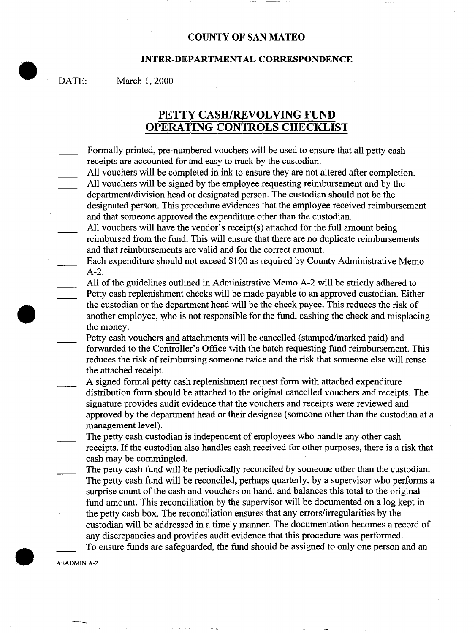## COUNTY OF SAN MATE0

#### INTER-DEPARTMENTAL CORRESPONDENCE

DATE: March 1, 2000

# PETTY CASH/REVOLVING FUND OPERATING CONTROLS CHECKLIST

- Formally printed, pre-numbered vouchers will be used to ensure that all petty cash receipts are accounted for and easy to track by the custodian.
- All vouchers will be completed in ink to ensure they are not altered after completion. All vouchers will be signed by the employee requesting reimbursement and by the department/division head or designated person. The custodian should not be the designated person. This procedure evidences that the employee received reimbursement and that someone approved the expenditure other than the custodian.
	- All vouchers will have the vendor's receipt(s) attached for the full amount being reimbursed from the fund. This will ensure that there are no duplicate reimbursements and that reimbursements are valid and for the correct amount.

Each expenditure should not exceed \$100 as required by County Administrative Memo A-2.

- All of the guidelines outlined in Administrative Memo A-2 will be strictly adhered to. Petty cash replenishment checks will be made payable to an approved custodian. Either the custodian or the department head will be the check payee. This reduces the risk of another employee, who is not responsible for the fund, cashing the check and misplacing the money.
- Petty cash vouchers and attachments will be cancelled (stamped/marked paid) and forwarded to the Controller's Office with the batch requesting fund reimbursement. This reduces the risk of reimbursing someone twice and the risk that someone else will reuse the attached receipt.
- A signed formal petty cash. replenishment request form with attached expenditure distribution form should be attached to the original cancelled vouchers and receipts. The signature provides audit evidence that the vouchers and receipts were reviewed and approved by the department head or their designee (someone other than the custodian at a management level).
- The petty cash custodian is independent of employees who handle any other cash receipts. If the custodian also handles cash received for other purposes, there is a risk that cash may be commingled.
- The petty cash fund will be periodically reconciled by someone other than the custodian. The petty cash fund will be reconciled, perhaps quarterly, by a supervisor who performs a surprise count of the cash and vouchers on hand, and balances this total to the original fund amount. This reconciliation by the supervisor will be documented on a log kept in the petty cash box. The reconciliation ensures that any errors/irregularities by the custodian will be addressed in a timely manner. The documentation becomes a record of any discrepancies and provides audit evidence that this procedure was performed.

To ensure funds are safeguarded, the fund should be assigned to only one person and an

A:\ADMIN.A-2